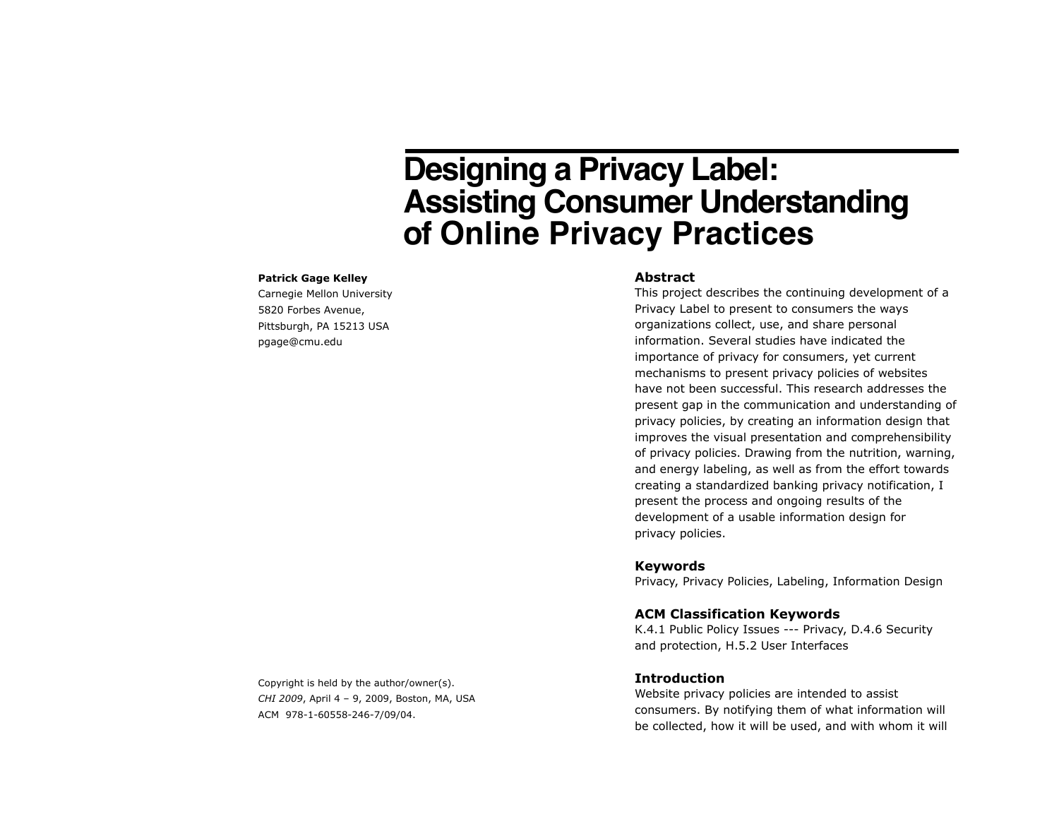# **Designing a Privacy Label: Assisting Consumer Understanding of Online Privacy Practices**

#### **Patrick Gage Kelley**

Carnegie Mellon University 5820 Forbes Avenue, Pittsburgh, PA 15213 USA pgage@cmu.edu

#### **Abstract**

This project describes the continuing development of a Privacy Label to present to consumers the ways organizations collect, use, and share personal information. Several studies have indicated the importance of privacy for consumers, yet current mechanisms to present privacy policies of websites have not been successful. This research addresses the present gap in the communication and understanding of privacy policies, by creating an information design that improves the visual presentation and comprehensibility of privacy policies. Drawing from the nutrition, warning, and energy labeling, as well as from the effort towards creating a standardized banking privacy notification, I present the process and ongoing results of the development of a usable information design for privacy policies.

### **Keywords**

Privacy, Privacy Policies, Labeling, Information Design

#### **ACM Classification Keywords**

K.4.1 Public Policy Issues --- Privacy, D.4.6 Security and protection, H.5.2 User Interfaces

### **Introduction**

Website privacy policies are intended to assist consumers. By notifying them of what information will be collected, how it will be used, and with whom it will

Copyright is held by the author/owner(s). *CHI 2009*, April 4 – 9, 2009, Boston, MA, USA ACM 978-1-60558-246-7/09/04.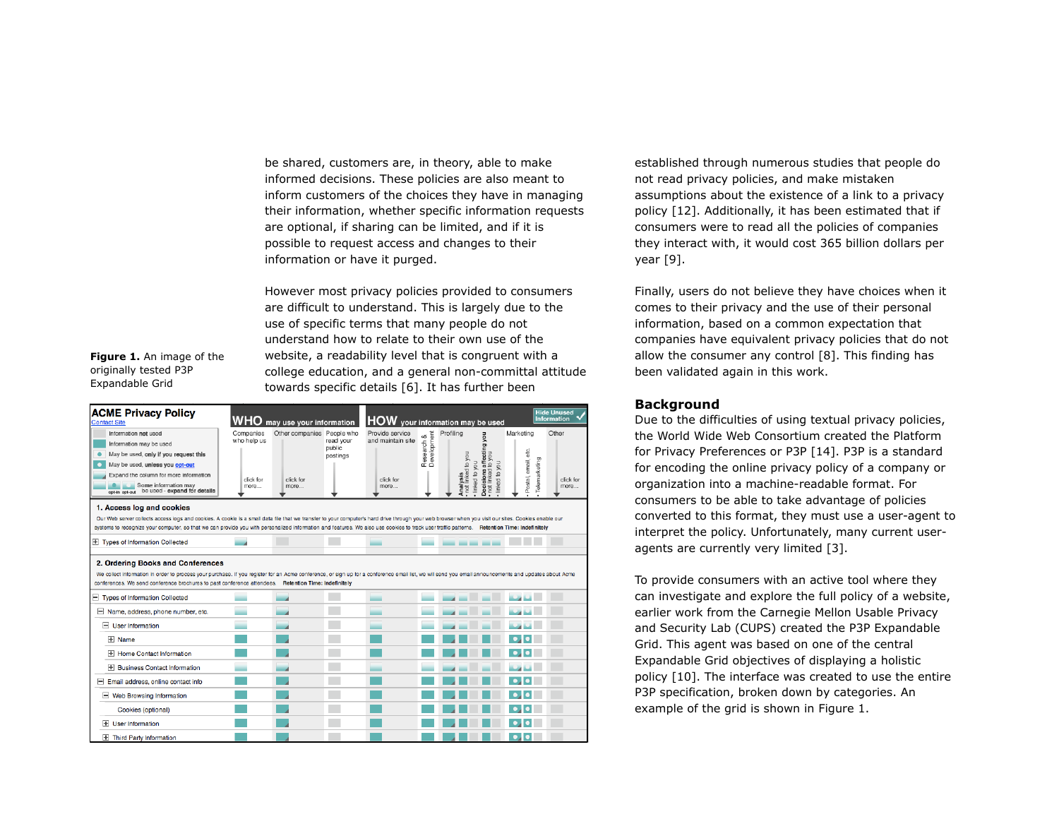be shared, customers are, in theory, able to make informed decisions. These policies are also meant to inform customers of the choices they have in managing their information, whether specific information requests are optional, if sharing can be limited, and if it is possible to request access and changes to their information or have it purged.

However most privacy policies provided to consumers are difficult to understand. This is largely due to the use of specific terms that many people do not understand how to relate to their own use of the website, a readability level that is congruent with a college education, and a general non-committal attitude towards specific details [6]. It has further been

**Figure 1.** An image of the originally tested P3P Expandable Grid

| <b>ACME Privacy Policy</b><br><b>Contact Site</b>                                                                                                                                                                                                                                                                                                                                                                               | WHO may use your information                  |                                                 |                                 | <b>HOW</b> your information may be used                   |                           |                                                               |                                                                    |                                  | <b>Hide Unused</b><br><b>Information</b>    |  |
|---------------------------------------------------------------------------------------------------------------------------------------------------------------------------------------------------------------------------------------------------------------------------------------------------------------------------------------------------------------------------------------------------------------------------------|-----------------------------------------------|-------------------------------------------------|---------------------------------|-----------------------------------------------------------|---------------------------|---------------------------------------------------------------|--------------------------------------------------------------------|----------------------------------|---------------------------------------------|--|
| Information not used<br>Information may be used<br>May be used, only if you request this<br>May be used, unless you opt-out<br>Expand the column for more information<br>Some information may<br>oot-in opt-out be used - expand for details                                                                                                                                                                                    | Companies<br>who help us<br>click for<br>more | Other companies People who<br>click for<br>more | read your<br>public<br>postings | Provide service<br>and maintain site<br>click for<br>more | Research &<br>Development | Profiling<br>Analysis<br>• not linked to you<br>linked to you | non<br>Decisions affecting<br>· not linked to you<br>linked to you | Marketing<br>Postal, email, etc. | Other<br>Telemarketing<br>click for<br>more |  |
| 1. Access log and cookies<br>Our Web server collects access logs and cookies. A cookie is a small data file that we transfer to your computer's hard drive through your web browser when you visit our sites. Cookies enable our<br>systems to recognize your computer, so that we can provide you with personalized information and features. We also use cookies to track user traffic patterns. Retention Time: Indefinitely |                                               |                                                 |                                 |                                                           |                           |                                                               |                                                                    |                                  |                                             |  |
| Types of Information Collected                                                                                                                                                                                                                                                                                                                                                                                                  |                                               |                                                 |                                 |                                                           |                           |                                                               |                                                                    |                                  |                                             |  |
| 2. Ordering Books and Conferences<br>We collect information in order to process your purchase. If you register for an Acme conference, or sign up for a conference email list, we will send you email announcements and updates about Acme<br>conferences. We send conference brochures to past conference attendees. Retention Time: Indefinitely                                                                              |                                               |                                                 |                                 |                                                           |                           |                                                               |                                                                    |                                  |                                             |  |
| <b>Types of Information Collected</b><br>-                                                                                                                                                                                                                                                                                                                                                                                      |                                               |                                                 |                                 |                                                           |                           |                                                               |                                                                    |                                  |                                             |  |
| $\Box$ Name, address, phone number, etc.                                                                                                                                                                                                                                                                                                                                                                                        |                                               |                                                 |                                 |                                                           |                           |                                                               |                                                                    |                                  |                                             |  |
| $\Box$ User Information                                                                                                                                                                                                                                                                                                                                                                                                         |                                               |                                                 |                                 |                                                           |                           |                                                               |                                                                    |                                  |                                             |  |
| <b>T</b> Name                                                                                                                                                                                                                                                                                                                                                                                                                   |                                               |                                                 |                                 |                                                           |                           |                                                               |                                                                    |                                  |                                             |  |
| <b>H</b> Home Contact Information                                                                                                                                                                                                                                                                                                                                                                                               |                                               |                                                 |                                 |                                                           |                           |                                                               |                                                                    |                                  |                                             |  |
| <b>F</b> Business Contact Information                                                                                                                                                                                                                                                                                                                                                                                           |                                               |                                                 |                                 |                                                           |                           |                                                               |                                                                    |                                  |                                             |  |
| Email address, online contact info<br>н                                                                                                                                                                                                                                                                                                                                                                                         |                                               |                                                 |                                 |                                                           |                           |                                                               |                                                                    |                                  |                                             |  |
| $\equiv$ Web Browsing Information                                                                                                                                                                                                                                                                                                                                                                                               |                                               |                                                 |                                 |                                                           |                           |                                                               |                                                                    |                                  |                                             |  |
| Cookies (optional)                                                                                                                                                                                                                                                                                                                                                                                                              |                                               |                                                 |                                 |                                                           |                           |                                                               |                                                                    |                                  |                                             |  |
| <b>H</b> User Information                                                                                                                                                                                                                                                                                                                                                                                                       |                                               |                                                 |                                 |                                                           |                           |                                                               |                                                                    |                                  |                                             |  |
| <b>Third Party Information</b>                                                                                                                                                                                                                                                                                                                                                                                                  |                                               |                                                 |                                 |                                                           |                           |                                                               |                                                                    |                                  |                                             |  |

established through numerous studies that people do not read privacy policies, and make mistaken assumptions about the existence of a link to a privacy policy [12]. Additionally, it has been estimated that if consumers were to read all the policies of companies they interact with, it would cost 365 billion dollars per year [9].

Finally, users do not believe they have choices when it comes to their privacy and the use of their personal information, based on a common expectation that companies have equivalent privacy policies that do not allow the consumer any control [8]. This finding has been validated again in this work.

#### **Background**

Due to the difficulties of using textual privacy policies, the World Wide Web Consortium created the Platform for Privacy Preferences or P3P [14]. P3P is a standard for encoding the online privacy policy of a company or organization into a machine-readable format. For consumers to be able to take advantage of policies converted to this format, they must use a user-agent to interpret the policy. Unfortunately, many current useragents are currently very limited [3].

To provide consumers with an active tool where they can investigate and explore the full policy of a website, earlier work from the Carnegie Mellon Usable Privacy and Security Lab (CUPS) created the P3P Expandable Grid. This agent was based on one of the central Expandable Grid objectives of displaying a holistic policy [10]. The interface was created to use the entire P3P specification, broken down by categories. An example of the grid is shown in Figure 1.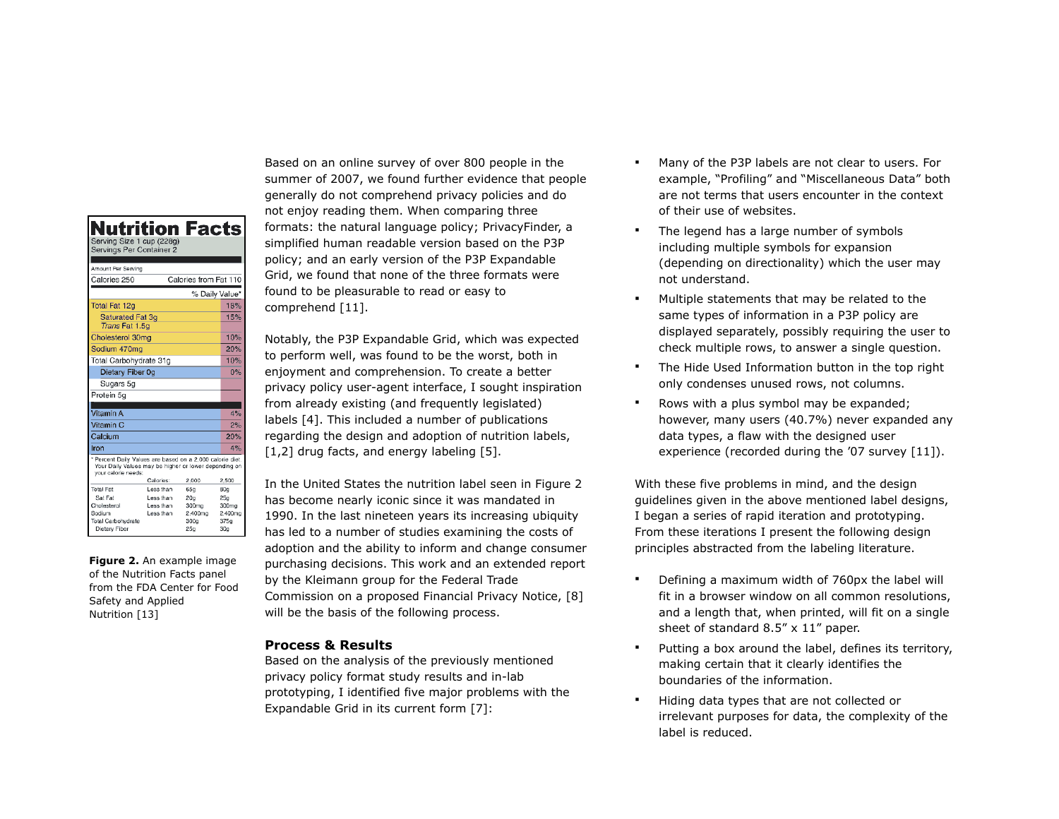| <b>Nutrition Facts</b><br>Serving Size 1 cup (228g)<br>Servings Per Container 2                                                           |                        |                       |            |
|-------------------------------------------------------------------------------------------------------------------------------------------|------------------------|-----------------------|------------|
|                                                                                                                                           |                        |                       |            |
| Amount Per Serving                                                                                                                        |                        |                       |            |
| Calories 250                                                                                                                              |                        | Calories from Fat 110 |            |
|                                                                                                                                           |                        | % Daily Value*        |            |
| Total Fat 12g                                                                                                                             |                        |                       | 18%        |
| Saturated Fat 3g                                                                                                                          |                        |                       | 15%        |
| Trans Fat 1.5q                                                                                                                            |                        |                       |            |
| Cholesterol 30mg                                                                                                                          |                        |                       | 10%        |
| Sodium 470mg                                                                                                                              |                        |                       | 20%        |
| Total Carbohydrate 31g                                                                                                                    |                        |                       | 10%        |
| Dietary Fiber 0g                                                                                                                          |                        |                       | 0%         |
| Sugars 5g                                                                                                                                 |                        |                       |            |
| Protein 5g                                                                                                                                |                        |                       |            |
|                                                                                                                                           |                        |                       |            |
| Vitamin A                                                                                                                                 |                        |                       | 4%         |
| Vitamin C                                                                                                                                 |                        |                       | 2%         |
| Calcium                                                                                                                                   |                        |                       | 20%        |
| Iron                                                                                                                                      |                        |                       | 4%         |
| * Percent Daily Values are based on a 2,000 calorie diet.<br>Your Daily Values may be higher or lower depending on<br>your calorie needs: |                        |                       |            |
| <b>Total Fat</b>                                                                                                                          | Calories:<br>Less than | 2,000                 | 2,500      |
| Sat Fat                                                                                                                                   | Less than              | 65g<br>20a            | 80g<br>25g |
| Cholesterol                                                                                                                               | Less than              | 300mg                 | 300mg      |
| Sodium                                                                                                                                    | Less than              | 2.400mg               | 2,400mg    |
| Total Carbohydrate                                                                                                                        |                        | 300g                  | 375g       |
| Dietary Fiber                                                                                                                             |                        | 25 <sub>0</sub>       | 30q        |

**Figure 2.** An example image of the Nutrition Facts panel from the FDA Center for Food Safety and Applied Nutrition [13]

Based on an online survey of over 800 people in the summer of 2007, we found further evidence that people generally do not comprehend privacy policies and do not enjoy reading them. When comparing three formats: the natural language policy; PrivacyFinder, a simplified human readable version based on the P3P policy; and an early version of the P3P Expandable Grid, we found that none of the three formats were found to be pleasurable to read or easy to comprehend [11].

Notably, the P3P Expandable Grid, which was expected to perform well, was found to be the worst, both in enjoyment and comprehension. To create a better privacy policy user-agent interface, I sought inspiration from already existing (and frequently legislated) labels [4]. This included a number of publications regarding the design and adoption of nutrition labels, [1,2] drug facts, and energy labeling [5].

In the United States the nutrition label seen in Figure 2 has become nearly iconic since it was mandated in 1990. In the last nineteen years its increasing ubiquity has led to a number of studies examining the costs of adoption and the ability to inform and change consumer purchasing decisions. This work and an extended report by the Kleimann group for the Federal Trade Commission on a proposed Financial Privacy Notice, [8] will be the basis of the following process.

## **Process & Results**

Based on the analysis of the previously mentioned privacy policy format study results and in-lab prototyping, I identified five major problems with the Expandable Grid in its current form [7]:

- Many of the P3P labels are not clear to users. For example, "Profiling" and "Miscellaneous Data" both are not terms that users encounter in the context of their use of websites.
- The legend has a large number of symbols including multiple symbols for expansion (depending on directionality) which the user may not understand.
- Multiple statements that may be related to the same types of information in a P3P policy are displayed separately, possibly requiring the user to check multiple rows, to answer a single question.
- The Hide Used Information button in the top right only condenses unused rows, not columns.
- Rows with a plus symbol may be expanded; however, many users (40.7%) never expanded any data types, a flaw with the designed user experience (recorded during the '07 survey [11]).

With these five problems in mind, and the design guidelines given in the above mentioned label designs, I began a series of rapid iteration and prototyping. From these iterations I present the following design principles abstracted from the labeling literature.

- Defining a maximum width of 760px the label will fit in a browser window on all common resolutions, and a length that, when printed, will fit on a single sheet of standard 8.5" x 11" paper.
- Putting a box around the label, defines its territory, making certain that it clearly identifies the boundaries of the information.
- Hiding data types that are not collected or irrelevant purposes for data, the complexity of the label is reduced.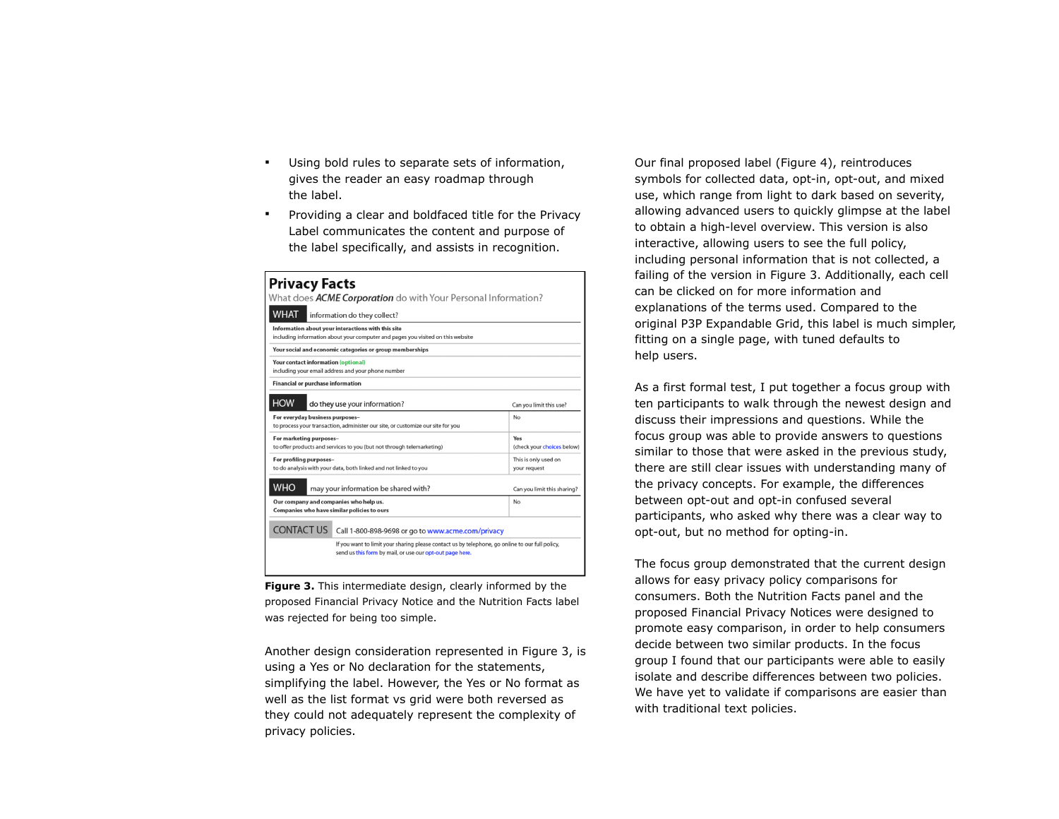- Using bold rules to separate sets of information, gives the reader an easy roadmap through the label.
- Providing a clear and boldfaced title for the Privacy Label communicates the content and purpose of the label specifically, and assists in recognition.

| <b>Privacy Facts</b>                                                                            |                             |  |  |  |
|-------------------------------------------------------------------------------------------------|-----------------------------|--|--|--|
| What does <i>ACME Corporation</i> do with Your Personal Information?                            |                             |  |  |  |
| <b>WHAT</b><br>information do they collect?                                                     |                             |  |  |  |
| Information about your interactions with this site                                              |                             |  |  |  |
| including information about your computer and pages you visited on this website                 |                             |  |  |  |
| Your social and economic categories or group memberships                                        |                             |  |  |  |
| Your contact information (optional)                                                             |                             |  |  |  |
| including your email address and your phone number                                              |                             |  |  |  |
| <b>Financial or purchase information</b>                                                        |                             |  |  |  |
|                                                                                                 |                             |  |  |  |
| <b>HOW</b><br>do they use your information?                                                     | Can you limit this use?     |  |  |  |
| For everyday business purposes-                                                                 | No                          |  |  |  |
| to process your transaction, administer our site, or customize our site for you                 |                             |  |  |  |
| For marketing purposes-                                                                         | Yes                         |  |  |  |
| to offer products and services to you (but not through telemarketing)                           | (check your choices below)  |  |  |  |
| For profiling purposes-                                                                         | This is only used on        |  |  |  |
| to do analysis with your data, both linked and not linked to you                                | your request                |  |  |  |
| <b>WHO</b><br>may your information be shared with?                                              | Can you limit this sharing? |  |  |  |
|                                                                                                 |                             |  |  |  |
| Our company and companies who help us.<br>Companies who have similar policies to ours           | No                          |  |  |  |
|                                                                                                 |                             |  |  |  |
| <b>CONTACT US</b><br>Call 1-800-898-9698 or go to www.acme.com/privacy                          |                             |  |  |  |
| If you want to limit your sharing please contact us by telephone, go online to our full policy, |                             |  |  |  |
| send us this form by mail, or use our opt-out page here.                                        |                             |  |  |  |
|                                                                                                 |                             |  |  |  |

**Figure 3.** This intermediate design, clearly informed by the proposed Financial Privacy Notice and the Nutrition Facts label was rejected for being too simple.

Another design consideration represented in Figure 3, is using a Yes or No declaration for the statements, simplifying the label. However, the Yes or No format as well as the list format vs grid were both reversed as they could not adequately represent the complexity of privacy policies.

Our final proposed label (Figure 4), reintroduces symbols for collected data, opt-in, opt-out, and mixed use, which range from light to dark based on severity, allowing advanced users to quickly glimpse at the label to obtain a high-level overview. This version is also interactive, allowing users to see the full policy, including personal information that is not collected, a failing of the version in Figure 3. Additionally, each cell can be clicked on for more information and explanations of the terms used. Compared to the original P3P Expandable Grid, this label is much simpler, fitting on a single page, with tuned defaults to help users.

As a first formal test, I put together a focus group with ten participants to walk through the newest design and discuss their impressions and questions. While the focus group was able to provide answers to questions similar to those that were asked in the previous study, there are still clear issues with understanding many of the privacy concepts. For example, the differences between opt-out and opt-in confused several participants, who asked why there was a clear way to opt-out, but no method for opting-in.

The focus group demonstrated that the current design allows for easy privacy policy comparisons for consumers. Both the Nutrition Facts panel and the proposed Financial Privacy Notices were designed to promote easy comparison, in order to help consumers decide between two similar products. In the focus group I found that our participants were able to easily isolate and describe differences between two policies. We have yet to validate if comparisons are easier than with traditional text policies.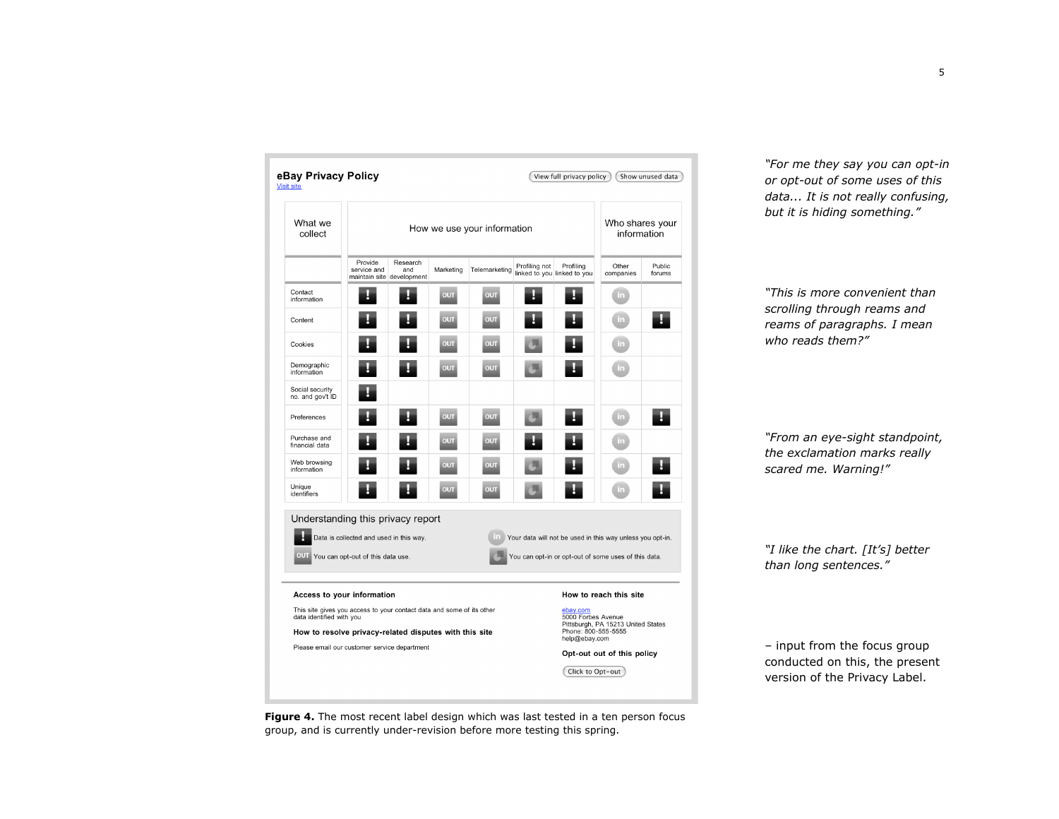| What we<br>collect                                                                                |                                                                              | How we use your information                  |            |               |               |                                          |                                                                                                                   | Who shares your<br>information |  |
|---------------------------------------------------------------------------------------------------|------------------------------------------------------------------------------|----------------------------------------------|------------|---------------|---------------|------------------------------------------|-------------------------------------------------------------------------------------------------------------------|--------------------------------|--|
|                                                                                                   | Provide<br>service and                                                       | Research<br>and<br>maintain site development | Marketing  | Telemarketing | Profiling not | Profiling<br>linked to you linked to you | Other<br>companies                                                                                                | Public<br>forums               |  |
| Contact<br>information                                                                            |                                                                              |                                              | OUT        | OUT           |               |                                          | in,                                                                                                               |                                |  |
| Content                                                                                           |                                                                              |                                              | <b>OUT</b> | <b>OUT</b>    |               |                                          | in.                                                                                                               |                                |  |
| Cookies                                                                                           |                                                                              |                                              | OUT        | OUT           |               |                                          | in.                                                                                                               |                                |  |
| Demographic<br>information                                                                        |                                                                              |                                              | OUT        | <b>OUT</b>    |               |                                          | in.                                                                                                               |                                |  |
| Social security<br>no. and gov't ID                                                               |                                                                              |                                              |            |               |               |                                          |                                                                                                                   |                                |  |
| Preferences                                                                                       |                                                                              |                                              | OUT        | OUT           |               |                                          | $\mathsf{in}$                                                                                                     |                                |  |
| Purchase and<br>financial data                                                                    |                                                                              |                                              | <b>OUT</b> | <b>OUT</b>    |               |                                          | in.                                                                                                               |                                |  |
| Web browsing<br>information                                                                       |                                                                              |                                              | OUT        | OUT           |               |                                          | in.                                                                                                               |                                |  |
| Unique<br>identifiers                                                                             |                                                                              |                                              | OUT        | <b>OUT</b>    |               |                                          | in.                                                                                                               |                                |  |
| Understanding this privacy report<br><b>OUT</b>                                                   | Data is collected and used in this way.<br>You can opt-out of this data use. |                                              |            | m             |               |                                          | Your data will not be used in this way unless you opt-in.<br>You can opt-in or opt-out of some uses of this data. |                                |  |
| Access to your information                                                                        |                                                                              |                                              |            |               |               |                                          | How to reach this site                                                                                            |                                |  |
| This site gives you access to your contact data and some of its other<br>data identified with you |                                                                              |                                              |            |               |               | ebav.com<br>5000 Forbes Avenue           | Pittsburgh, PA 15213 United States                                                                                |                                |  |
| How to resolve privacy-related disputes with this site                                            |                                                                              |                                              |            |               |               | Phone: 800-555-5555<br>help@ebay.com     |                                                                                                                   |                                |  |
| Please email our customer service department                                                      |                                                                              |                                              |            |               |               |                                          | Opt-out out of this policy                                                                                        |                                |  |
|                                                                                                   |                                                                              |                                              |            |               |               |                                          |                                                                                                                   |                                |  |

*"For me they say you can opt-in or opt-out of some uses of this data... It is not really confusing, but it is hiding something."*

*"This is more convenient than scrolling through reams and reams of paragraphs. I mean who reads them?"*

*"From an eye-sight standpoint, the exclamation marks really scared me. Warning!"*

*"I like the chart. [It's] better than long sentences."*

– input from the focus group conducted on this, the present version of the Privacy Label.

**Figure 4.** The most recent label design which was last tested in a ten person focus group, and is currently under-revision before more testing this spring.